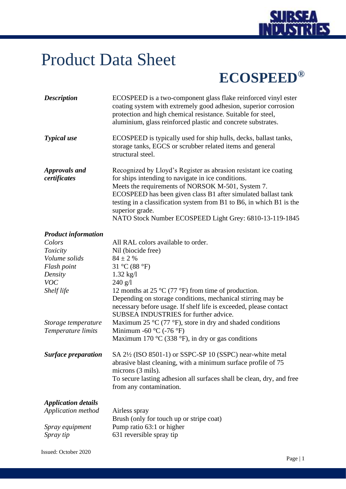

## Product Data Sheet

## **ECOSPEED®**

| <b>Description</b>                   | ECOSPEED is a two-component glass flake reinforced vinyl ester<br>coating system with extremely good adhesion, superior corrosion<br>protection and high chemical resistance. Suitable for steel,<br>aluminium, glass reinforced plastic and concrete substrates.                                                                                                                                  |
|--------------------------------------|----------------------------------------------------------------------------------------------------------------------------------------------------------------------------------------------------------------------------------------------------------------------------------------------------------------------------------------------------------------------------------------------------|
| <b>Typical</b> use                   | ECOSPEED is typically used for ship hulls, decks, ballast tanks,<br>storage tanks, EGCS or scrubber related items and general<br>structural steel.                                                                                                                                                                                                                                                 |
| <b>Approvals and</b><br>certificates | Recognized by Lloyd's Register as abrasion resistant ice coating<br>for ships intending to navigate in ice conditions.<br>Meets the requirements of NORSOK M-501, System 7.<br>ECOSPEED has been given class B1 after simulated ballast tank<br>testing in a classification system from B1 to B6, in which B1 is the<br>superior grade.<br>NATO Stock Number ECOSPEED Light Grey: 6810-13-119-1845 |
| <b>Product information</b>           |                                                                                                                                                                                                                                                                                                                                                                                                    |
| Colors                               | All RAL colors available to order.                                                                                                                                                                                                                                                                                                                                                                 |
| Toxicity                             | Nil (biocide free)                                                                                                                                                                                                                                                                                                                                                                                 |
| Volume solids                        | $84 \pm 2$ %                                                                                                                                                                                                                                                                                                                                                                                       |
| Flash point                          | 31 °C (88 °F)                                                                                                                                                                                                                                                                                                                                                                                      |
| Density                              | $1.32 \text{ kg}/1$                                                                                                                                                                                                                                                                                                                                                                                |
| <b>VOC</b>                           | 240 g/l                                                                                                                                                                                                                                                                                                                                                                                            |
| Shelf life                           | 12 months at 25 $\rm{^{\circ}C}$ (77 $\rm{^{\circ}F}$ ) from time of production.                                                                                                                                                                                                                                                                                                                   |
|                                      | Depending on storage conditions, mechanical stirring may be<br>necessary before usage. If shelf life is exceeded, please contact<br>SUBSEA INDUSTRIES for further advice.                                                                                                                                                                                                                          |
| Storage temperature                  | Maximum 25 $\rm{^{\circ}C}$ (77 $\rm{^{\circ}F}$ ), store in dry and shaded conditions                                                                                                                                                                                                                                                                                                             |
| Temperature limits                   | Minimum -60 $\rm{^{\circ}C}$ (-76 $\rm{^{\circ}F}$ )                                                                                                                                                                                                                                                                                                                                               |
|                                      | Maximum 170 $\rm{^{\circ}C}$ (338 $\rm{^{\circ}F}$ ), in dry or gas conditions                                                                                                                                                                                                                                                                                                                     |
| <b>Surface preparation</b>           | SA 2 <sup>1</sup> / <sub>2</sub> (ISO 8501-1) or SSPC-SP 10 (SSPC) near-white metal<br>abrasive blast cleaning, with a minimum surface profile of 75<br>microns (3 mils).<br>To secure lasting adhesion all surfaces shall be clean, dry, and free<br>from any contamination.                                                                                                                      |
| <b>Application details</b>           |                                                                                                                                                                                                                                                                                                                                                                                                    |
| Application method                   | Airless spray                                                                                                                                                                                                                                                                                                                                                                                      |
|                                      | Brush (only for touch up or stripe coat)                                                                                                                                                                                                                                                                                                                                                           |
| Spray equipment                      | Pump ratio 63:1 or higher                                                                                                                                                                                                                                                                                                                                                                          |
| Spray tip                            | 631 reversible spray tip                                                                                                                                                                                                                                                                                                                                                                           |